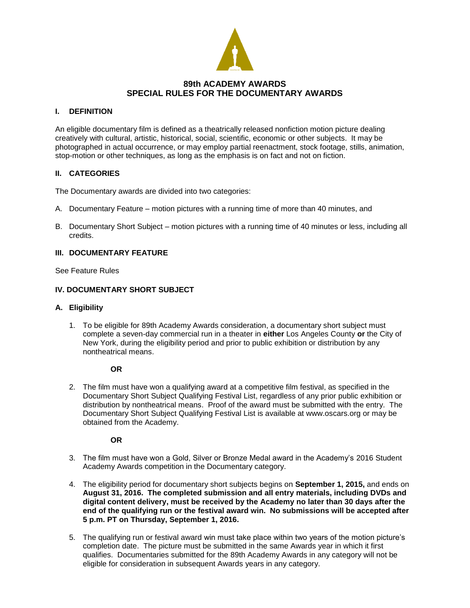

# **89th ACADEMY AWARDS SPECIAL RULES FOR THE DOCUMENTARY AWARDS**

### **I. DEFINITION**

An eligible documentary film is defined as a theatrically released nonfiction motion picture dealing creatively with cultural, artistic, historical, social, scientific, economic or other subjects. It may be photographed in actual occurrence, or may employ partial reenactment, stock footage, stills, animation, stop-motion or other techniques, as long as the emphasis is on fact and not on fiction.

### **II. CATEGORIES**

The Documentary awards are divided into two categories:

- A. Documentary Feature motion pictures with a running time of more than 40 minutes, and
- B. Documentary Short Subject motion pictures with a running time of 40 minutes or less, including all credits.

# **III. DOCUMENTARY FEATURE**

See Feature Rules

### **IV. DOCUMENTARY SHORT SUBJECT**

#### **A. Eligibility**

1. To be eligible for 89th Academy Awards consideration, a documentary short subject must complete a seven-day commercial run in a theater in **either** Los Angeles County **or** the City of New York, during the eligibility period and prior to public exhibition or distribution by any nontheatrical means.

**OR**

2. The film must have won a qualifying award at a competitive film festival, as specified in the Documentary Short Subject Qualifying Festival List, regardless of any prior public exhibition or distribution by nontheatrical means. Proof of the award must be submitted with the entry. The Documentary Short Subject Qualifying Festival List is available at www.oscars.org or may be obtained from the Academy.

**OR**

- 3. The film must have won a Gold, Silver or Bronze Medal award in the Academy's 2016 Student Academy Awards competition in the Documentary category.
- 4. The eligibility period for documentary short subjects begins on **September 1, 2015,** and ends on **August 31, 2016. The completed submission and all entry materials, including DVDs and digital content delivery, must be received by the Academy no later than 30 days after the end of the qualifying run or the festival award win. No submissions will be accepted after 5 p.m. PT on Thursday, September 1, 2016.**
- 5. The qualifying run or festival award win must take place within two years of the motion picture's completion date. The picture must be submitted in the same Awards year in which it first qualifies. Documentaries submitted for the 89th Academy Awards in any category will not be eligible for consideration in subsequent Awards years in any category.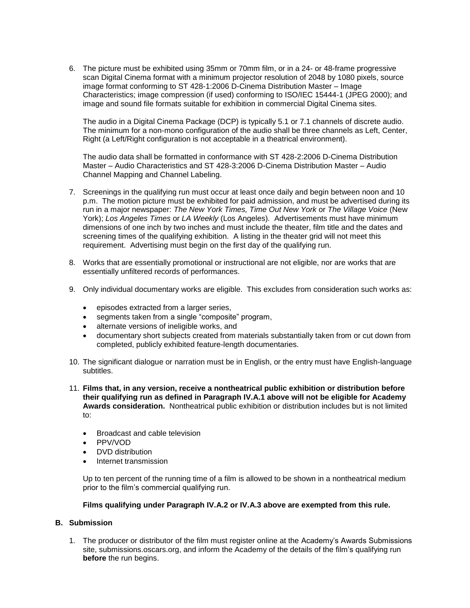6. The picture must be exhibited using 35mm or 70mm film, or in a 24- or 48-frame progressive scan Digital Cinema format with a minimum projector resolution of 2048 by 1080 pixels, source image format conforming to ST 428-1:2006 D-Cinema Distribution Master – Image Characteristics; image compression (if used) conforming to ISO/IEC 15444-1 (JPEG 2000); and image and sound file formats suitable for exhibition in commercial Digital Cinema sites.

The audio in a Digital Cinema Package (DCP) is typically 5.1 or 7.1 channels of discrete audio. The minimum for a non-mono configuration of the audio shall be three channels as Left, Center, Right (a Left/Right configuration is not acceptable in a theatrical environment).

The audio data shall be formatted in conformance with ST 428-2:2006 D-Cinema Distribution Master – Audio Characteristics and ST 428-3:2006 D-Cinema Distribution Master – Audio Channel Mapping and Channel Labeling.

- 7. Screenings in the qualifying run must occur at least once daily and begin between noon and 10 p.m. The motion picture must be exhibited for paid admission, and must be advertised during its run in a major newspaper: *The New York Times, Time Out New York* or *The Village Voice* (New York); *Los Angeles Times* or *LA Weekly* (Los Angeles)*.* Advertisements must have minimum dimensions of one inch by two inches and must include the theater, film title and the dates and screening times of the qualifying exhibition. A listing in the theater grid will not meet this requirement. Advertising must begin on the first day of the qualifying run.
- 8. Works that are essentially promotional or instructional are not eligible, nor are works that are essentially unfiltered records of performances.
- 9. Only individual documentary works are eligible. This excludes from consideration such works as:
	- **•** episodes extracted from a larger series,
	- segments taken from a single "composite" program,
	- alternate versions of ineligible works, and
	- documentary short subjects created from materials substantially taken from or cut down from completed, publicly exhibited feature-length documentaries.
- 10. The significant dialogue or narration must be in English, or the entry must have English-language subtitles.
- 11. **Films that, in any version, receive a nontheatrical public exhibition or distribution before their qualifying run as defined in Paragraph IV.A.1 above will not be eligible for Academy Awards consideration.** Nontheatrical public exhibition or distribution includes but is not limited to:
	- Broadcast and cable television
	- PPV/VOD
	- DVD distribution
	- Internet transmission

Up to ten percent of the running time of a film is allowed to be shown in a nontheatrical medium prior to the film's commercial qualifying run.

#### **Films qualifying under Paragraph IV.A.2 or IV.A.3 above are exempted from this rule.**

### **B. Submission**

1. The producer or distributor of the film must register online at the Academy's Awards Submissions site, submissions.oscars.org, and inform the Academy of the details of the film's qualifying run **before** the run begins.